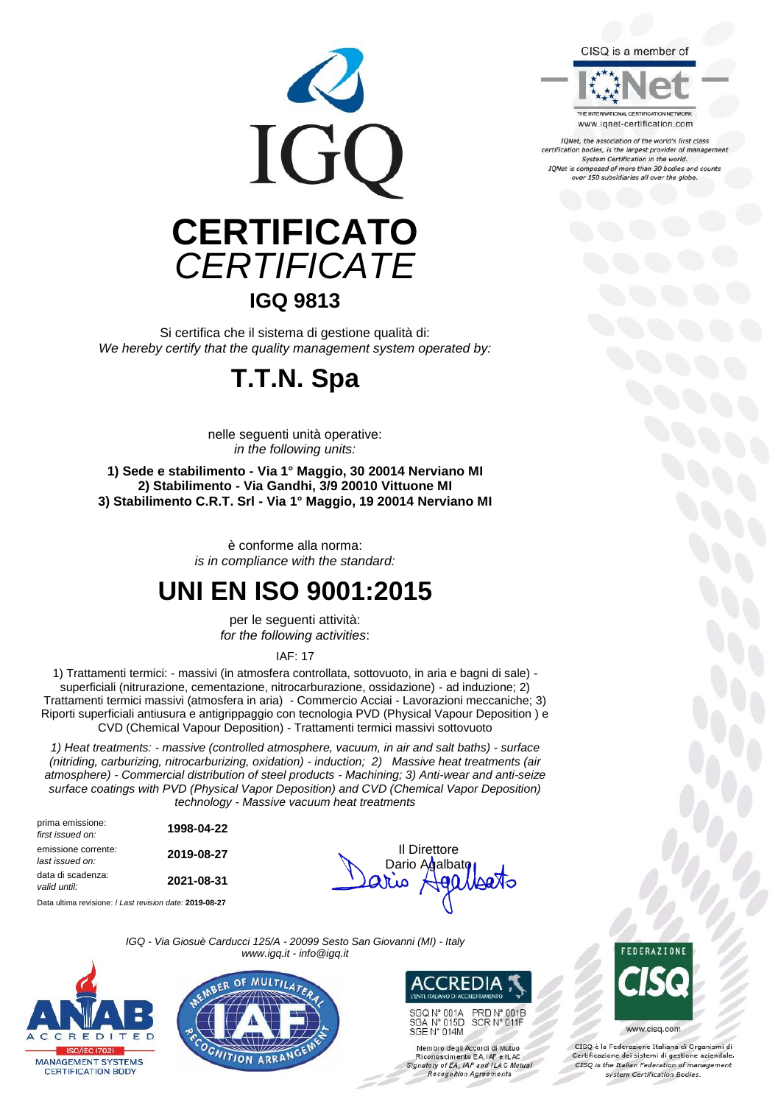

Si certifica che il sistema di gestione qualità di: *We hereby certify that the quality management system operated by:*

### **T.T.N. Spa**

nelle seguenti unità operative: *in the following units:*

**1) Sede e stabilimento - Via 1° Maggio, 30 20014 Nerviano MI 2) Stabilimento - Via Gandhi, 3/9 20010 Vittuone MI 3) Stabilimento C.R.T. Srl - Via 1° Maggio, 19 20014 Nerviano MI**

> è conforme alla norma: *is in compliance with the standard:*

### **UNI EN ISO 9001:2015**

per le seguenti attività: *for the following activities*:

IAF: 17

1) Trattamenti termici: - massivi (in atmosfera controllata, sottovuoto, in aria e bagni di sale) superficiali (nitrurazione, cementazione, nitrocarburazione, ossidazione) - ad induzione; 2) Trattamenti termici massivi (atmosfera in aria) - Commercio Acciai - Lavorazioni meccaniche; 3) Riporti superficiali antiusura e antigrippaggio con tecnologia PVD (Physical Vapour Deposition ) e CVD (Chemical Vapour Deposition) - Trattamenti termici massivi sottovuoto

*1) Heat treatments: - massive (controlled atmosphere, vacuum, in air and salt baths) - surface (nitriding, carburizing, nitrocarburizing, oxidation) - induction; 2) Massive heat treatments (air atmosphere) - Commercial distribution of steel products - Machining; 3) Anti-wear and anti-seize surface coatings with PVD (Physical Vapor Deposition) and CVD (Chemical Vapor Deposition) technology - Massive vacuum heat treatments*

prima emissione: *first issued on:* **1998-04-22** emissione corrente: **emissione corrente: 2019-08-27 1 Direttore**<br>*last issued on:* **2019-08-27 1 Dario Advalhs** data di scadenza: *valid until:* **2021-08-31**

Data ultima revisione: / *Last revision date:* **2019-08-27**



*IGQ - Via Giosuè Carducci 125/A - 20099 Sesto San Giovanni (MI) - Italy www.igq.it - info@igq.it*







SGQ N° 001A PRD N° 001B<br>SCR N° 011F SGA N° 015D<br>SGE N° 014M

Membro degli Accordi di Mutuo<br>Riconoscimento EA, IAF e ILAC<br>Signatory of EA, IAF and ILAC Mutual Recognition Agreements

**FRAZION** 

www.cisq.com

CISO è la Federazione Italiana di Organismi di Certificazione dei sistemi di gestione aziendale.<br>CISQ is the Italian Federation of management system Certification Bodies.



www.ignet-certification.com

IQNet, the association of the world's first class certification bodies, is the largest provider of management<br>System Certification in the world. IQNet is composed of more than 30 bodies and counts<br>over 150 subsidiaries all over the globe.